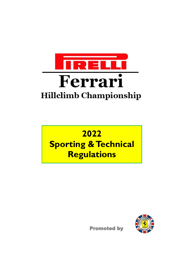

# 2022 **Sporting & Technical Regulations**



**Promoted by**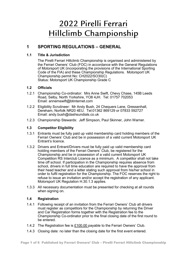## 2022 Pirelli Ferrari Hillclimb Championship

## **1 SPORTING REGULATIONS ± GENERAL**

### **1.1 Title & Jurisdiction**

The Pirelli Ferrari Hillclimb Championship is organised and administered by the Ferrari Owners' Club (FOC) in accordance with the General Regulations of Motorsport UK (incorporating the provisions of the International Sporting Code of the FIA) and these Championship Regulations. Motorsport UK Championship permit No: CH2022/SO30(C) Status: Motorsport UK Championship Grade C

### **1.2 Officials**

- 1.2.1 Championship Co-ordinator: Mrs Anne Swift, Chevy Chase, 145B Leeds Road, Selb\, North Yorkshire, YO8 4JH. Tel: 01757 702053 Email: annemswift@btinternet.com
- 1.2.2 Eligibility Scrutineer: Mr Andy Bush, 24 Chequers Lane, Gressenhall, Dereham, Norfolk NR20 4EU. Tel:01362 869129 or 07833 592727 Email: andy.bush@dashsundials.co.uk
- 1.2.3 Championship Stewards: Jeff Simpson, Paul Skinner, John Warner.

### **1.3 Competitor Eligibility**

- 1.3.1 Entrants must be fully paid up valid membership card holding members of the Ferrari Owners' Club and be in possession of a valid current Motorsport UK Entrant's licence.
- 1.3.2 Drivers and Entrant/Drivers must be fully paid up valid membership card holding members of the Ferrari Owners<sup>'</sup> Club, be registered for the Championship and be in possession of a valid current Motorsport UK Competition RS Interclub Licence as a minimum. A competitor shall not take time off school. If participation in the Championship requires absence from school, drivers in full time education are required to have the approval from their head teacher and a letter stating such approval from his/her school in order to fulfil registration for the Championship. The FOC reserves the right to refuse to issue an invitation and/or accept the registration of any applicant. Motorsport UK Regulation H.30.1.3 applies.
- 1.3.3 All necessary documentation must be presented for checking at all rounds when signing on.

#### **1.4 Registration**

- 1.4.1 Following receipt of an invitation from the Ferrari Owners' Club all drivers must register as competitors for the Championship by returning the Driver and Car Registration forms together with the Registration fee to the Championship Co-ordinator prior to the final closing date of the first round to be entered.
- 1.4.2 The Registration fee is £100.00 payable to the Ferrari Owners' Club.
- 1.4.3 Closing date: no later than the closing date for the first event entered.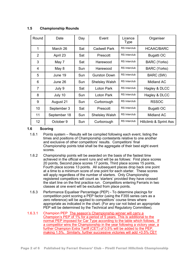| Round          | Date         | Day | Event                 | Licence<br><b>Type</b> | Organiser              |
|----------------|--------------|-----|-----------------------|------------------------|------------------------|
| 1              | March 26     | Sat | <b>Cadwell Park</b>   | <b>RS</b> Interclub    | <b>HCAAC/BARC</b>      |
| $\overline{2}$ | April 23     | Sat | Prescott              | <b>RS</b> Interclub    | <b>Bugatti OC</b>      |
| 3              | May 7        | Sat | Harewood              | RS Interclub           | <b>BARC</b> (Yorks)    |
| 4              | May 8        | Sun | Harewood              | RS Interclub           | <b>BARC</b> (Yorks)    |
| 5              | June 19      | Sun | <b>Gurston Down</b>   | <b>RS</b> Interclub    | BARC (SW)              |
| 6              | June 26      | Sun | <b>Shelsley Walsh</b> | <b>RS</b> Interclub    | <b>Midland AC</b>      |
| $\overline{7}$ | July 9       | Sat | <b>Loton Park</b>     | RS Interclub           | Hagley & DLCC          |
| 8              | July 10      | Sun | <b>Loton Park</b>     | <b>RS</b> Interclub    | Hagley & DLCC          |
| 9              | August 21    | Sun | Curborough            | RS Interclub           | <b>RSSOC</b>           |
| 10             | September 3  | Sat | Prescott              | <b>RS</b> Interclub    | <b>Bugatti OC</b>      |
| 11             | September 18 | Sun | <b>Shelsley Walsh</b> | <b>RS</b> Interclub    | <b>Midland AC</b>      |
| 12             | October 9    | Sun | Curborough            | <b>RS</b> Interclub    | Hillclimb & Sprint Ass |

#### $1.5$ **Championship Rounds**

#### $1.6$ **Scoring**

- $1.6.1$ Points system – Results will be compiled following each event, listing the times and positions of Championship contestants relative to one another and exclusive of other competitors' results. Competitors' final Championship points total shall be the aggregate of their best eight event scores
- $1.6.2$ Championship points will be awarded on the basis of the fastest time achieved in the official event runs and will be as follows: First place scores 20 points, Second place scores 17 points, Third place scores 15 points, Fourth place scores 13 points. All subsequent places drop back one point at a time to a minimum score of one point for each starter. These scores will apply regardless of the number of starters. Only Championship registered competitors will count as 'starters' provided they have crossed the start line on the first practice run. Competitors entering Ferraris in two classes at one event will be excluded from place points.
- 163 Performance Equaliser Percentage (PEP) - To determine placings for competition point scoring a PEP factor (using the F355 series cars as a zero reference) will be applied to competitors' course times where appropriate as indicated in the chart. (For any car not listed an appropriate PEP will be determined by the Technical and Regulatory Committee).
- $1.6.3.1$ Champion PEP The season's Championship winner will carry a Champion's PEP of 1% for a period of 5 years. This is additional to the normal PEP imposed for Car Type according to the table which follows. If a competitor wins the Championship in the year following a victory year, a further Champion Extra Tariff (CET) of 0.5% will be added to the PEP. making 1.5%. Similarly, further successive victories will add +0.5% CET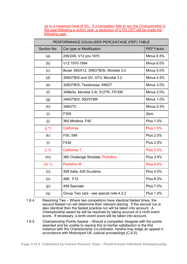up to a maximum total of 3%. If a competitor fails to win the Championship in the year following a victory year, a deduction of  $0.5\%$  CET will be made the following vear.

.

| PERFORMANCE EQUALISER PERCENTAGE (PEP) TABLE |                                         |                   |  |  |  |
|----------------------------------------------|-----------------------------------------|-------------------|--|--|--|
| Section No.                                  | Car type or Modification                | <b>PEP Factor</b> |  |  |  |
| (a)                                          | 206/246, V12 pre-1970                   | Minus 6.5%        |  |  |  |
| (b)                                          | V12 1970-1994                           | Minus 6.0%        |  |  |  |
| (c)                                          | Boxer 365/512, 308GTB/Si, Mondial 3.0   | <b>Minus 5.0%</b> |  |  |  |
| (d)                                          | 308GTB/S and QV, GT4, Mondial 3.2       | Minus 4.5%        |  |  |  |
| (e)                                          | 328GTB/S, Testarossa, 456GT             | Minus 3.0%        |  |  |  |
| (f)                                          | 348tb/ts, Mondial 3.4t, 512TR, F512M    | <b>Minus 2.0%</b> |  |  |  |
| (g)                                          | 348GTB/S, 550/575M                      | <b>Minus 1.0%</b> |  |  |  |
| (h)                                          | 348GTC                                  | <b>Minus 0.5%</b> |  |  |  |
| (i)                                          | F355                                    | Zero              |  |  |  |
| (j)                                          | 360 Modena, F40                         | <b>Plus 1.0%</b>  |  |  |  |
| (i 1)                                        | California                              | <b>Plus 1.5%</b>  |  |  |  |
| (k)                                          | F50, 599                                | <b>Plus 2.0%</b>  |  |  |  |
| (1)                                          | F430                                    | <b>Plus 2.5%</b>  |  |  |  |
| (11)                                         | California T                            | <b>Plus 3.0%</b>  |  |  |  |
| (m)                                          | 360 Challenge Stradale, Portofino       | <b>Plus 3.5%</b>  |  |  |  |
| (m <sub>1</sub> )                            | <b>Portofino M</b>                      | <b>Plus 4.0%</b>  |  |  |  |
| (n)                                          | 458 Italia, 430 Scuderia                | <b>Plus 4.5%</b>  |  |  |  |
| (o)                                          | 488, F12                                | <b>Plus 6.0%</b>  |  |  |  |
| (p)                                          | 458 Speciale                            | <b>Plus 7.0%</b>  |  |  |  |
| (q)                                          | Group Two cars - see special note 4.2.2 | <b>Plus 1.5%</b>  |  |  |  |

1.6.4 Resolving Ties - Where two competitors have identical fastest times, the second fastest run will determine their relevant placing. If the second run is also identical then the fastest practice run will be taken into account. A Championship award tie will be resolved by taking account of a ninth event score. If necessary, a tenth event score will be taken into account.

1.6.5 Championship Points Appeal – Should a competitor disagree with the points awarded and be unable to resolve this to his/her satisfaction in the first instance with the Championship Co-ordinator, he/she may lodge an appeal in accordance with Motorsport UK Judicial proceedings  $(C.\overline{6}.5)$ .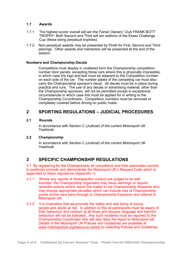#### 1.7 Awards

- 1.7.1 The highest scorer overall will win the Ferrari Owners' Club FRANK BOTT TROPHY. Both Second and Third will win editions of the Essex Challenge Cup (these being perpetual trophies).
- 1.7.2 Non-perpetual awards may be presented by Pirelli for First, Second and Third placings. Other awards and mementos will be presented at the end of the season

#### **Numbers and Championship Decals**

Competitors must display in unaltered form the Championship competition number door panels, excepting those cars where this is physically impossible. in which case the logo and text must be adjacent to the Competition number on each side of the car. The number plates of the competing car must also carry the Championship sponsor's decal. All decals must be in place during practice and runs. The use of any decals or advertising material, other than the Championship sponsors, will not be permitted except in exceptional circumstances in which case this must be applied for in writing to the Championship Co-ordinator. Competition numbers must be removed or completely covered before driving on public roads.

## **2 SPORTING REGULATIONS - JUDICIAL PROCEDURES**

#### 2.1 **Rounds**

In accordance with Section C (Judicial) of the current Motorsport UK Yearbook.

#### **2.2 Championship**

In accordance with Section C (Judicial) of the current Motorsport UK Yearbook

## **3 SPECIFIC CHAMPIONSHIP REGULATIONS**

3.1 By registering for the Championship all competitors and their associates commit to positively promote and demonstrate the Motorsport UK's Respect Code which is appended to these regulations (Appendix 1).

- 3.1.1 Where any reports of disrespectful conduct are judged to be well founded the Championship organisers may issue warnings or require remedial actions and/or report the matter to the Championship Stewards who may impose appropriate penalties which can include loss of Championship points and/or race bans through to Championship Expulsion and referral to Motorsport UK.
- 3.1.2 It is imperative that we promote the safety and well being of young people and adults at risk. In addition to this all participants must be aware of their behaviour and conduct at all times and abusive language and harmful behaviour will not be tolerated. Any such incidents must be reported to the Championship Coordinator who will also relay the report to Motorsport UK. Details of the Motorsport UK Policies and Guidelines are available at www.motorsportuk.org/resource-centre by selecting Policies and Guidelines.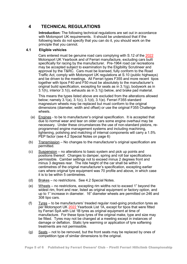#### $\overline{\mathbf{A}}$ **TECHNICAL REGULATIONS**

Introduction: The following technical regulations are set out in accordance with Motorsport UK requirements. It should be understood that if the following texts do not specify that you can do it, you should work on the principle that you cannot.

#### $4.1$ **Eligible vehicles**

Cars entered must be genuine road cars complying with S.12 of the 2022 Motorsport UK Yearbook and of Ferrari manufacture, excluding cars built specifically for racing by the manufacturer. Pre-1964 road car recreations may be accepted subject to examination by the Eligibility Scrutineer and approval by the T&RC. Cars must be licensed, fully conform to the Road Traffic Act, comply with Motorsport UK regulations at S.10 (public highways) and be driven to the meetings. All Ferrari types F355 and more recent tipos together with tipos F40 and F50 must be absolutely to the manufacturer's original build specification, excepting for seats as in 3.1(g), bodywork as in  $3.1(h)$ , interior  $3.1(i)$ , exhausts as in  $3.1(i)$  below, and brake pad material.

This means the types listed above are excluded from the alterations allowed below; namely 3.1(a), 3.1(c), 3.1(d), 3.1(e). Ferrari F355 standard magnesium wheels may be replaced but must conform to the original dimensions (diameter, width and offset) or use the original F355 Challenge wheels.

- (a) Engines to be to manufacturer's original specification. It is accepted that due to normal wear and tear on older cars some engine overhaul may be necessary. Under these circumstances the use of non-standard pistons, reprogrammed engine management systems and including machining, lightening, polishing and matching of internal components will carry a 1.5% PEP factor (see 4.2 Special Notes on page 6)
- Transmission No changes to the manufacturer's original specification are  $(b)$ permitted.
- $(c)$ Suspension – no alterations to basic system and pick up points and positions thereof. Changes to damper, spring and roll bar specifications permissible. Camber settings not to exceed minus 2 degrees front and minus 3 degrees rear. The ride height of the car shall be within 3 centimetres of the original manufacturer's specification, excepting earlier cars where original tyre equipment was 70 profile and above, in which case it is to be within 5 centimetres.
- $(d)$ Brakes – no restrictions. See 4.2 Special Notes.
- Wheels no restrictions, excepting rim widths not to exceed 1" beyond the  $(e)$ widest rim, front and rear, listed as original equipment or factory option, and up to 1" increase in diameter. 16" diameter wheels are permitted on 246 and 308 tipo cars.
- $(f)$ Tyres – to be manufacturers' treaded regular road-going production tyres as per Motorsport UK 2022 Yearbook List 1A, except for tipos that were fitted by Ferrari SpA with List 1B tyres as original equipment at time of manufacture. For these tipos tyres of the original make, type and size may be fitted. Tyres may not be changed at a meeting except in instances of damage or deflation. Static tyre warming or application of tyre softening treatments are not permissible.
- Seats not to be removed, but the front seats may be replaced by ones of  $(a)$ competition type of similar dimensions to the original.